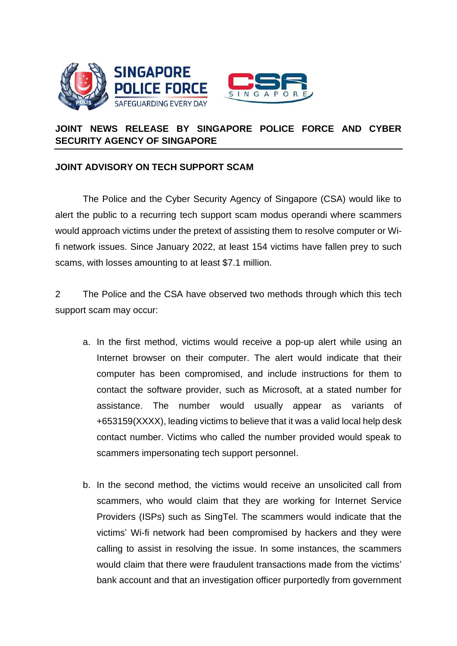



## **JOINT NEWS RELEASE BY SINGAPORE POLICE FORCE AND CYBER SECURITY AGENCY OF SINGAPORE**

## **JOINT ADVISORY ON TECH SUPPORT SCAM**

The Police and the Cyber Security Agency of Singapore (CSA) would like to alert the public to a recurring tech support scam modus operandi where scammers would approach victims under the pretext of assisting them to resolve computer or Wifi network issues. Since January 2022, at least 154 victims have fallen prey to such scams, with losses amounting to at least \$7.1 million.

2 The Police and the CSA have observed two methods through which this tech support scam may occur:

- a. In the first method, victims would receive a pop-up alert while using an Internet browser on their computer. The alert would indicate that their computer has been compromised, and include instructions for them to contact the software provider, such as Microsoft, at a stated number for assistance. The number would usually appear as variants of +653159(XXXX), leading victims to believe that it was a valid local help desk contact number. Victims who called the number provided would speak to scammers impersonating tech support personnel.
- b. In the second method, the victims would receive an unsolicited call from scammers, who would claim that they are working for Internet Service Providers (ISPs) such as SingTel. The scammers would indicate that the victims' Wi-fi network had been compromised by hackers and they were calling to assist in resolving the issue. In some instances, the scammers would claim that there were fraudulent transactions made from the victims' bank account and that an investigation officer purportedly from government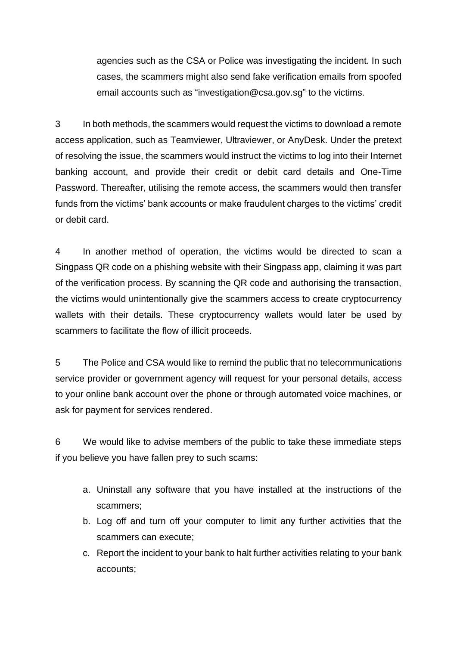agencies such as the CSA or Police was investigating the incident. In such cases, the scammers might also send fake verification emails from spoofed email accounts such as "investigation@csa.gov.sg" to the victims.

3 In both methods, the scammers would request the victims to download a remote access application, such as Teamviewer, Ultraviewer, or AnyDesk. Under the pretext of resolving the issue, the scammers would instruct the victims to log into their Internet banking account, and provide their credit or debit card details and One-Time Password. Thereafter, utilising the remote access, the scammers would then transfer funds from the victims' bank accounts or make fraudulent charges to the victims' credit or debit card.

4 In another method of operation, the victims would be directed to scan a Singpass QR code on a phishing website with their Singpass app, claiming it was part of the verification process. By scanning the QR code and authorising the transaction, the victims would unintentionally give the scammers access to create cryptocurrency wallets with their details. These cryptocurrency wallets would later be used by scammers to facilitate the flow of illicit proceeds.

5 The Police and CSA would like to remind the public that no telecommunications service provider or government agency will request for your personal details, access to your online bank account over the phone or through automated voice machines, or ask for payment for services rendered.

6 We would like to advise members of the public to take these immediate steps if you believe you have fallen prey to such scams:

- a. Uninstall any software that you have installed at the instructions of the scammers;
- b. Log off and turn off your computer to limit any further activities that the scammers can execute;
- c. Report the incident to your bank to halt further activities relating to your bank accounts;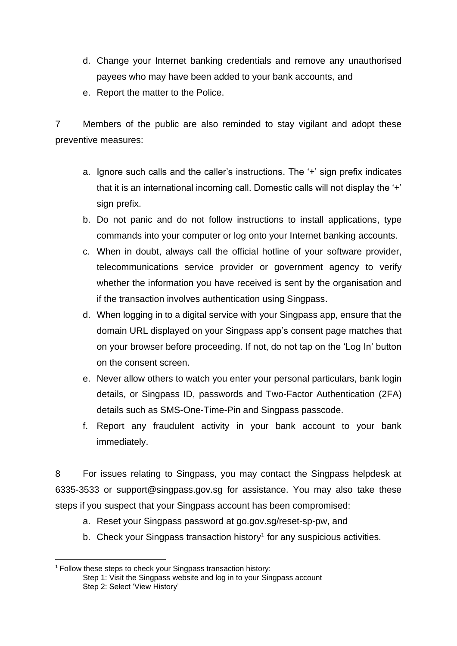- d. Change your Internet banking credentials and remove any unauthorised payees who may have been added to your bank accounts, and
- e. Report the matter to the Police.

7 Members of the public are also reminded to stay vigilant and adopt these preventive measures:

- a. Ignore such calls and the caller's instructions. The '+' sign prefix indicates that it is an international incoming call. Domestic calls will not display the '+' sign prefix.
- b. Do not panic and do not follow instructions to install applications, type commands into your computer or log onto your Internet banking accounts.
- c. When in doubt, always call the official hotline of your software provider, telecommunications service provider or government agency to verify whether the information you have received is sent by the organisation and if the transaction involves authentication using Singpass.
- d. When logging in to a digital service with your Singpass app, ensure that the domain URL displayed on your Singpass app's consent page matches that on your browser before proceeding. If not, do not tap on the 'Log In' button on the consent screen.
- e. Never allow others to watch you enter your personal particulars, bank login details, or Singpass ID, passwords and Two-Factor Authentication (2FA) details such as SMS-One-Time-Pin and Singpass passcode.
- f. Report any fraudulent activity in your bank account to your bank immediately.

8 For issues relating to Singpass, you may contact the Singpass helpdesk at 6335-3533 or support@singpass.gov.sg for assistance. You may also take these steps if you suspect that your Singpass account has been compromised:

- a. Reset your Singpass password at go.gov.sg/reset-sp-pw, and
- b. Check your Singpass transaction history<sup>1</sup> for any suspicious activities.

<sup>&</sup>lt;sup>1</sup> Follow these steps to check your Singpass transaction history: Step 1: Visit the Singpass website and log in to your Singpass account Step 2: Select 'View History'